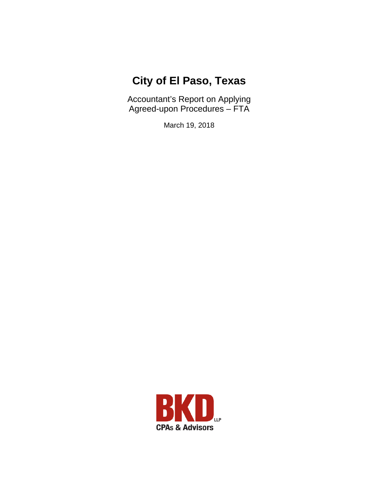# **City of El Paso, Texas**

Accountant's Report on Applying Agreed-upon Procedures – FTA

March 19, 2018

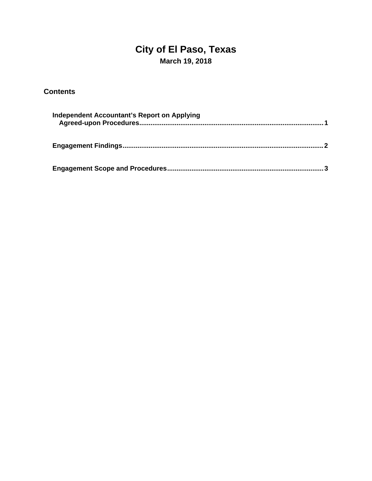## **City of El Paso, Texas March 19, 2018**

### **Contents**

| <b>Independent Accountant's Report on Applying</b> |  |
|----------------------------------------------------|--|
|                                                    |  |
|                                                    |  |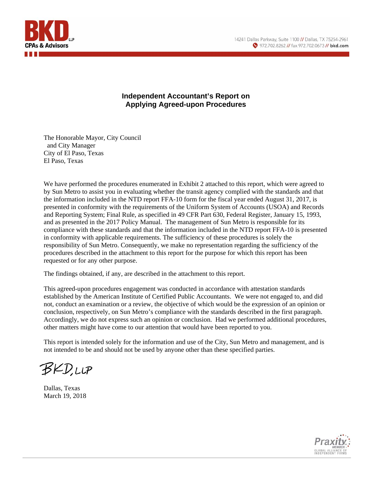

#### **Independent Accountant's Report on Applying Agreed-upon Procedures**

The Honorable Mayor, City Council and City Manager City of El Paso, Texas El Paso, Texas

We have performed the procedures enumerated in Exhibit 2 attached to this report, which were agreed to by Sun Metro to assist you in evaluating whether the transit agency complied with the standards and that the information included in the NTD report FFA-10 form for the fiscal year ended August 31, 2017, is presented in conformity with the requirements of the Uniform System of Accounts (USOA) and Records and Reporting System; Final Rule, as specified in 49 CFR Part 630, Federal Register, January 15, 1993, and as presented in the 2017 Policy Manual. The management of Sun Metro is responsible for its compliance with these standards and that the information included in the NTD report FFA-10 is presented in conformity with applicable requirements. The sufficiency of these procedures is solely the responsibility of Sun Metro. Consequently, we make no representation regarding the sufficiency of the procedures described in the attachment to this report for the purpose for which this report has been requested or for any other purpose.

The findings obtained, if any, are described in the attachment to this report.

This agreed-upon procedures engagement was conducted in accordance with attestation standards established by the American Institute of Certified Public Accountants. We were not engaged to, and did not, conduct an examination or a review, the objective of which would be the expression of an opinion or conclusion, respectively, on Sun Metro's compliance with the standards described in the first paragraph. Accordingly, we do not express such an opinion or conclusion. Had we performed additional procedures, other matters might have come to our attention that would have been reported to you.

This report is intended solely for the information and use of the City, Sun Metro and management, and is not intended to be and should not be used by anyone other than these specified parties.

**BKD,LLP** 

Dallas, Texas March 19, 2018

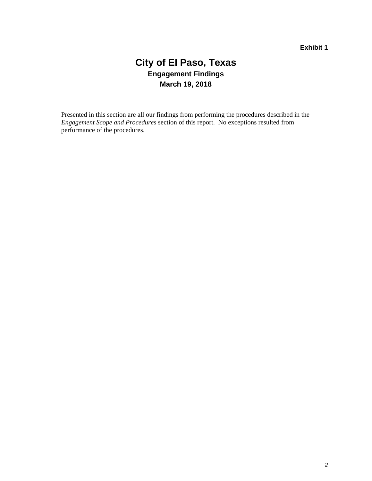### **City of El Paso, Texas Engagement Findings March 19, 2018**

Presented in this section are all our findings from performing the procedures described in the *Engagement Scope and Procedures* section of this report. No exceptions resulted from performance of the procedures.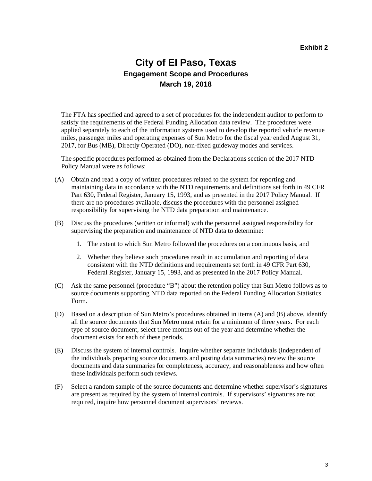### **City of El Paso, Texas Engagement Scope and Procedures March 19, 2018**

The FTA has specified and agreed to a set of procedures for the independent auditor to perform to satisfy the requirements of the Federal Funding Allocation data review. The procedures were applied separately to each of the information systems used to develop the reported vehicle revenue miles, passenger miles and operating expenses of Sun Metro for the fiscal year ended August 31, 2017, for Bus (MB), Directly Operated (DO), non-fixed guideway modes and services.

The specific procedures performed as obtained from the Declarations section of the 2017 NTD Policy Manual were as follows:

- (A) Obtain and read a copy of written procedures related to the system for reporting and maintaining data in accordance with the NTD requirements and definitions set forth in 49 CFR Part 630, Federal Register, January 15, 1993, and as presented in the 2017 Policy Manual. If there are no procedures available, discuss the procedures with the personnel assigned responsibility for supervising the NTD data preparation and maintenance.
- (B) Discuss the procedures (written or informal) with the personnel assigned responsibility for supervising the preparation and maintenance of NTD data to determine:
	- 1. The extent to which Sun Metro followed the procedures on a continuous basis, and
	- 2. Whether they believe such procedures result in accumulation and reporting of data consistent with the NTD definitions and requirements set forth in 49 CFR Part 630, Federal Register, January 15, 1993, and as presented in the 2017 Policy Manual.
- (C) Ask the same personnel (procedure "B") about the retention policy that Sun Metro follows as to source documents supporting NTD data reported on the Federal Funding Allocation Statistics Form.
- (D) Based on a description of Sun Metro's procedures obtained in items (A) and (B) above, identify all the source documents that Sun Metro must retain for a minimum of three years. For each type of source document, select three months out of the year and determine whether the document exists for each of these periods.
- (E) Discuss the system of internal controls. Inquire whether separate individuals (independent of the individuals preparing source documents and posting data summaries) review the source documents and data summaries for completeness, accuracy, and reasonableness and how often these individuals perform such reviews.
- (F) Select a random sample of the source documents and determine whether supervisor's signatures are present as required by the system of internal controls. If supervisors' signatures are not required, inquire how personnel document supervisors' reviews.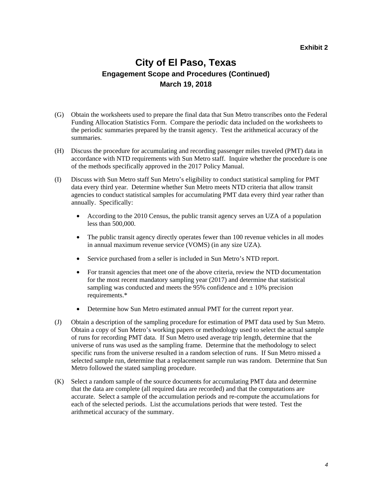### **City of El Paso, Texas Engagement Scope and Procedures (Continued) March 19, 2018**

- (G) Obtain the worksheets used to prepare the final data that Sun Metro transcribes onto the Federal Funding Allocation Statistics Form. Compare the periodic data included on the worksheets to the periodic summaries prepared by the transit agency. Test the arithmetical accuracy of the summaries.
- (H) Discuss the procedure for accumulating and recording passenger miles traveled (PMT) data in accordance with NTD requirements with Sun Metro staff. Inquire whether the procedure is one of the methods specifically approved in the 2017 Policy Manual.
- (I) Discuss with Sun Metro staff Sun Metro's eligibility to conduct statistical sampling for PMT data every third year. Determine whether Sun Metro meets NTD criteria that allow transit agencies to conduct statistical samples for accumulating PMT data every third year rather than annually. Specifically:
	- According to the 2010 Census, the public transit agency serves an UZA of a population less than 500,000.
	- The public transit agency directly operates fewer than 100 revenue vehicles in all modes in annual maximum revenue service (VOMS) (in any size UZA).
	- Service purchased from a seller is included in Sun Metro's NTD report.
	- For transit agencies that meet one of the above criteria, review the NTD documentation for the most recent mandatory sampling year (2017) and determine that statistical sampling was conducted and meets the 95% confidence and  $\pm$  10% precision requirements.\*
	- Determine how Sun Metro estimated annual PMT for the current report year.
- (J) Obtain a description of the sampling procedure for estimation of PMT data used by Sun Metro. Obtain a copy of Sun Metro's working papers or methodology used to select the actual sample of runs for recording PMT data. If Sun Metro used average trip length, determine that the universe of runs was used as the sampling frame. Determine that the methodology to select specific runs from the universe resulted in a random selection of runs. If Sun Metro missed a selected sample run, determine that a replacement sample run was random. Determine that Sun Metro followed the stated sampling procedure.
- (K) Select a random sample of the source documents for accumulating PMT data and determine that the data are complete (all required data are recorded) and that the computations are accurate. Select a sample of the accumulation periods and re-compute the accumulations for each of the selected periods. List the accumulations periods that were tested. Test the arithmetical accuracy of the summary.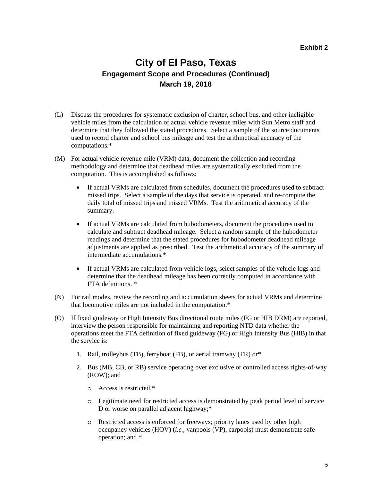### **City of El Paso, Texas Engagement Scope and Procedures (Continued) March 19, 2018**

- (L) Discuss the procedures for systematic exclusion of charter, school bus, and other ineligible vehicle miles from the calculation of actual vehicle revenue miles with Sun Metro staff and determine that they followed the stated procedures. Select a sample of the source documents used to record charter and school bus mileage and test the arithmetical accuracy of the computations.\*
- (M) For actual vehicle revenue mile (VRM) data, document the collection and recording methodology and determine that deadhead miles are systematically excluded from the computation. This is accomplished as follows:
	- If actual VRMs are calculated from schedules, document the procedures used to subtract missed trips. Select a sample of the days that service is operated, and re-compute the daily total of missed trips and missed VRMs. Test the arithmetical accuracy of the summary.
	- If actual VRMs are calculated from hubodometers, document the procedures used to calculate and subtract deadhead mileage. Select a random sample of the hubodometer readings and determine that the stated procedures for hubodometer deadhead mileage adjustments are applied as prescribed. Test the arithmetical accuracy of the summary of intermediate accumulations.\*
	- If actual VRMs are calculated from vehicle logs, select samples of the vehicle logs and determine that the deadhead mileage has been correctly computed in accordance with FTA definitions. \*
- (N) For rail modes, review the recording and accumulation sheets for actual VRMs and determine that locomotive miles are not included in the computation.\*
- (O) If fixed guideway or High Intensity Bus directional route miles (FG or HIB DRM) are reported, interview the person responsible for maintaining and reporting NTD data whether the operations meet the FTA definition of fixed guideway (FG) or High Intensity Bus (HIB) in that the service is:
	- 1. Rail, trolleybus (TB), ferryboat (FB), or aerial tramway (TR) or\*
	- 2. Bus (MB, CB, or RB) service operating over exclusive or controlled access rights-of-way (ROW); and
		- o Access is restricted,\*
		- o Legitimate need for restricted access is demonstrated by peak period level of service D or worse on parallel adjacent highway;\*
		- o Restricted access is enforced for freeways; priority lanes used by other high occupancy vehicles (HOV) (*i.e.*, vanpools (VP), carpools) must demonstrate safe operation; and \*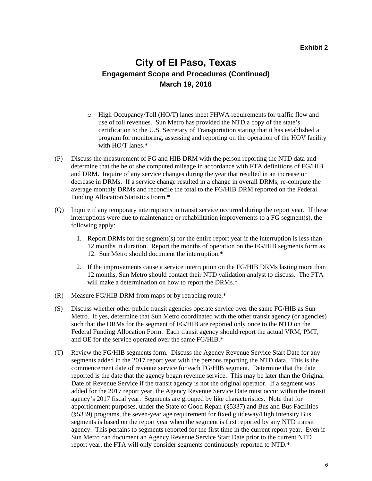### **City of El Paso, Texas Engagement Scope and Procedures (Continued) March 19, 2018**

- o High Occupancy/Toll (HO/T) lanes meet FHWA requirements for traffic flow and use of toll revenues. Sun Metro has provided the NTD a copy of the state's certification to the U.S. Secretary of Transportation stating that it has established a program for monitoring, assessing and reporting on the operation of the HOV facility with HO/T lanes.\*
- (P) Discuss the measurement of FG and HIB DRM with the person reporting the NTD data and determine that the he or she computed mileage in accordance with FTA definitions of FG/HIB and DRM. Inquire of any service changes during the year that resulted in an increase or decrease in DRMs. If a service change resulted in a change in overall DRMs, re-compute the average monthly DRMs and reconcile the total to the FG/HIB DRM reported on the Federal Funding Allocation Statistics Form.\*
- (Q) Inquire if any temporary interruptions in transit service occurred during the report year. If these interruptions were due to maintenance or rehabilitation improvements to a FG segment(s), the following apply:
	- 1. Report DRMs for the segment(s) for the entire report year if the interruption is less than 12 months in duration. Report the months of operation on the FG/HIB segments form as 12. Sun Metro should document the interruption.\*
	- 2. If the improvements cause a service interruption on the FG/HIB DRMs lasting more than 12 months, Sun Metro should contact their NTD validation analyst to discuss. The FTA will make a determination on how to report the DRMs.<sup>\*</sup>
- (R) Measure FG/HIB DRM from maps or by retracing route.\*
- (S) Discuss whether other public transit agencies operate service over the same FG/HIB as Sun Metro. If yes, determine that Sun Metro coordinated with the other transit agency (or agencies) such that the DRMs for the segment of FG/HIB are reported only once to the NTD on the Federal Funding Allocation Form. Each transit agency should report the actual VRM, PMT, and OE for the service operated over the same FG/HIB.\*
- (T) Review the FG/HIB segments form. Discuss the Agency Revenue Service Start Date for any segments added in the 2017 report year with the persons reporting the NTD data. This is the commencement date of revenue service for each FG/HIB segment. Determine that the date reported is the date that the agency began revenue service. This may be later than the Original Date of Revenue Service if the transit agency is not the original operator. If a segment was added for the 2017 report year, the Agency Revenue Service Date must occur within the transit agency's 2017 fiscal year. Segments are grouped by like characteristics. Note that for apportionment purposes, under the State of Good Repair (§5337) and Bus and Bus Facilities (§5339) programs, the seven-year age requirement for fixed guideway/High Intensity Bus segments is based on the report year when the segment is first reported by any NTD transit agency. This pertains to segments reported for the first time in the current report year. Even if Sun Metro can document an Agency Revenue Service Start Date prior to the current NTD report year, the FTA will only consider segments continuously reported to NTD.\*